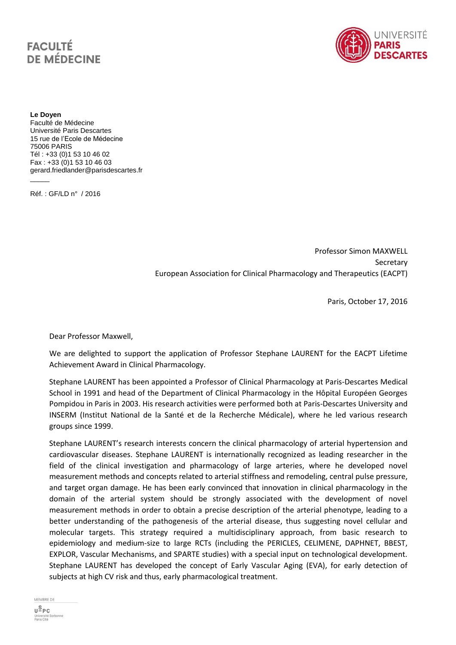## **FACULTÉ DE MÉDECINE**



**Le Doyen** Faculté de Médecine Université Paris Descartes 15 rue de l'Ecole de Médecine 75006 PARIS Tél : +33 (0)1 53 10 46 02 Fax : +33 (0)1 53 10 46 03 gerard.friedlander@parisdescartes.fr

Réf. : GF/LD n° / 2016

 $\overline{\phantom{a}}$ 

Professor Simon MAXWELL Secretary European Association for Clinical Pharmacology and Therapeutics (EACPT)

Paris, October 17, 2016

Dear Professor Maxwell,

We are delighted to support the application of Professor Stephane LAURENT for the EACPT Lifetime Achievement Award in Clinical Pharmacology.

Stephane LAURENT has been appointed a Professor of Clinical Pharmacology at Paris-Descartes Medical School in 1991 and head of the Department of Clinical Pharmacology in the Hôpital Européen Georges Pompidou in Paris in 2003. His research activities were performed both at Paris-Descartes University and INSERM (Institut National de la Santé et de la Recherche Médicale), where he led various research groups since 1999.

Stephane LAURENT's research interests concern the clinical pharmacology of arterial hypertension and cardiovascular diseases. Stephane LAURENT is internationally recognized as leading researcher in the field of the clinical investigation and pharmacology of large arteries, where he developed novel measurement methods and concepts related to arterial stiffness and remodeling, central pulse pressure, and target organ damage. He has been early convinced that innovation in clinical pharmacology in the domain of the arterial system should be strongly associated with the development of novel measurement methods in order to obtain a precise description of the arterial phenotype, leading to a better understanding of the pathogenesis of the arterial disease, thus suggesting novel cellular and molecular targets. This strategy required a multidisciplinary approach, from basic research to epidemiology and medium-size to large RCTs (including the PERICLES, CELIMENE, DAPHNET, BBEST, EXPLOR, Vascular Mechanisms, and SPARTE studies) with a special input on technological development. Stephane LAURENT has developed the concept of Early Vascular Aging (EVA), for early detection of subjects at high CV risk and thus, early pharmacological treatment.

MEMBRE DE